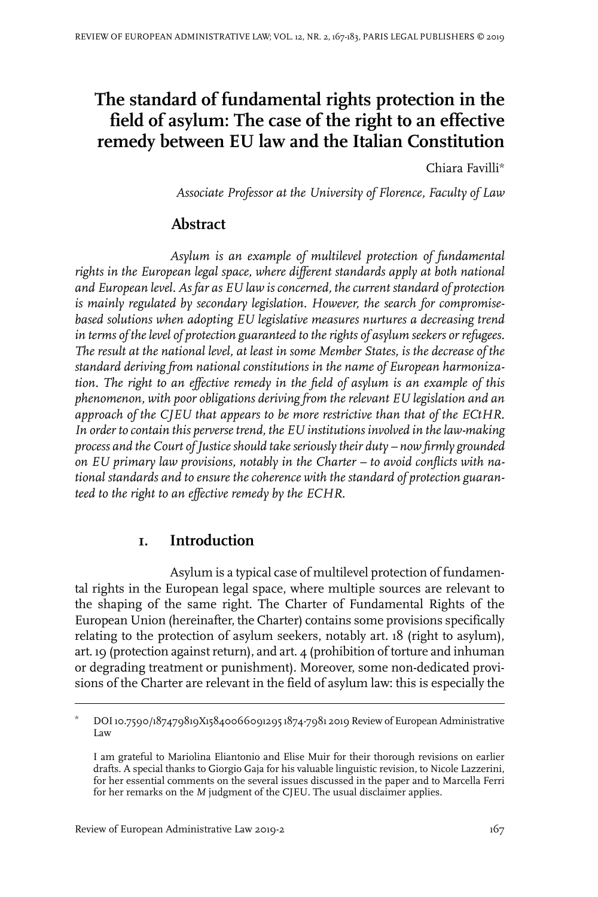# **The standard of fundamental rights protection in the field of asylum: The case of the right to an effective remedy between EU law and the Italian Constitution**

Chiara Favilli\*

*Associate Professor at the University of Florence, Faculty of Law*

## **Abstract**

*Asylum is an example of multilevel protection of fundamental rights in the European legal space, where different standards apply at both national and European level. As far as EU law is concerned, the current standard of protection is mainly regulated by secondary legislation. However, the search for compromisebased solutions when adopting EU legislative measures nurtures a decreasing trend in terms of the level of protection guaranteed to the rights of asylum seekers or refugees. The result at the national level, at least in some Member States, is the decrease of the standard deriving from national constitutions in the name of European harmonization. The right to an effective remedy in the field of asylum is an example of this phenomenon, with poor obligations deriving from the relevant EU legislation and an approach of the CJEU that appears to be more restrictive than that of the ECtHR. In order to contain this perverse trend, the EU institutions involved in the law-making process and the Court of Justice should take seriously their duty – now firmly grounded on EU primary law provisions, notably in the Charter – to avoid conflicts with national standards and to ensure the coherence with the standard of protection guaranteed to the right to an effective remedy by the ECHR.*

# **1. Introduction**

Asylum is a typical case of multilevel protection of fundamental rights in the European legal space, where multiple sources are relevant to the shaping of the same right. The Charter of Fundamental Rights of the European Union (hereinafter, the Charter) contains some provisions specifically relating to the protection of asylum seekers, notably art. 18 (right to asylum), art. 19 (protection against return), and art.  $\mu$  (prohibition of torture and inhuman or degrading treatment or punishment). Moreover, some non-dedicated provisions of the Charter are relevant in the field of asylum law: this is especially the

DOI10.7590/187479819X15840066091295 1874-7981 2019 Review of European Administrative Law \*

I am grateful to Mariolina Eliantonio and Elise Muir for their thorough revisions on earlier drafts. A special thanks to Giorgio Gaja for his valuable linguistic revision, to Nicole Lazzerini, for her essential comments on the several issues discussed in the paper and to Marcella Ferri for her remarks on the *M* judgment of the CJEU. The usual disclaimer applies.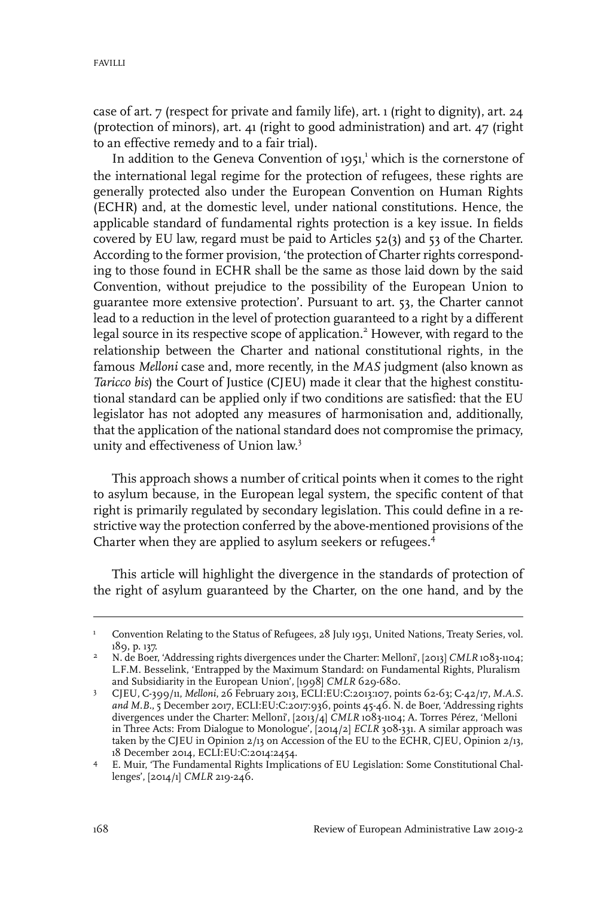case of art. 7 (respect for private and family life), art. 1 (right to dignity), art. 24 (protection of minors), art. 41 (right to good administration) and art. 47 (right to an effective remedy and to a fair trial).

In addition to the Geneva Convention of  $1951$ , which is the cornerstone of the international legal regime for the protection of refugees, these rights are generally protected also under the European Convention on Human Rights (ECHR) and, at the domestic level, under national constitutions. Hence, the applicable standard of fundamental rights protection is a key issue. In fields covered by EU law, regard must be paid to Articles 52(3) and 53 of the Charter. According to the former provision, 'the protection of Charter rights corresponding to those found in ECHR shall be the same as those laid down by the said Convention, without prejudice to the possibility of the European Union to guarantee more extensive protection'. Pursuant to art. 53, the Charter cannot lead to a reduction in the level of protection guaranteed to a right by a different legal source in its respective scope of application.<sup>2</sup> However, with regard to the relationship between the Charter and national constitutional rights, in the famous *Melloni* case and, more recently, in the *MAS* judgment (also known as *Taricco bis*) the Court of Justice (CJEU) made it clear that the highest constitutional standard can be applied only if two conditions are satisfied: that the EU legislator has not adopted any measures of harmonisation and, additionally, that the application of the national standard does not compromise the primacy, unity and effectiveness of Union law. 3

This approach shows a number of critical points when it comes to the right to asylum because, in the European legal system, the specific content of that right is primarily regulated by secondary legislation. This could define in a restrictive way the protection conferred by the above-mentioned provisions of the Charter when they are applied to asylum seekers or refugees.<sup>4</sup>

This article will highlight the divergence in the standards of protection of the right of asylum guaranteed by the Charter, on the one hand, and by the

Convention Relating to the Status of Refugees, 28 July 1951, United Nations, Treaty Series, vol. 189, p. 137. 1

N. de Boer, 'Addressing rights divergences under the Charter: Melloni', [2013] *CMLR* 1083-1104; L.F.M. Besselink, 'Entrapped by the Maximum Standard: on Fundamental Rights, Pluralism and Subsidiarity in the European Union', [1998] *CMLR* 629-680. 2

CJEU, C-399/11, *Melloni*, 26 February 2013, ECLI:EU:C:2013:107, points 62-63; C-42/17, *M.A.S. and M.B.*, 5 December 2017, ECLI:EU:C:2017:936, points 45-46. N. de Boer, 'Addressing rights 3 divergences under the Charter: Melloni', [2013/4] *CMLR* 1083-1104; A. Torres Pérez, 'Melloni in Three Acts: From Dialogue to Monologue', [2014/2] *ECLR* 308-331. A similar approach was taken by the CJEU in Opinion 2/13 on Accession of the EU to the ECHR, CJEU, Opinion 2/13, 18 December 2014, ECLI:EU:C:2014:2454.

E. Muir, 'The Fundamental Rights Implications of EU Legislation: Some Constitutional Chal-4 lenges', [2014/1] *CMLR* 219-246.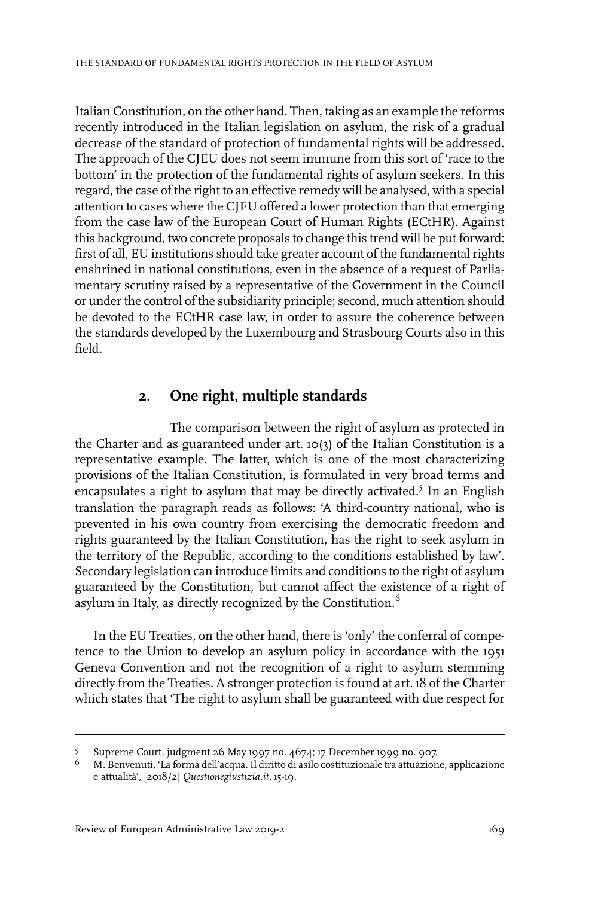Italian Constitution, on the other hand. Then, taking as an example the reforms recently introduced in the Italian legislation on asylum, the risk of a gradual decrease of the standard of protection of fundamental rights will be addressed. The approach of the CJEU does not seem immune from this sort of 'race to the bottom' in the protection of the fundamental rights of asylum seekers. In this regard, the case of the right to an effective remedy will be analysed, with a special attention to cases where the CJEU offered a lower protection than that emerging from the case law of the European Court of Human Rights (ECtHR). Against this background, two concrete proposals to change this trend will be put forward: first of all, EU institutions should take greater account of the fundamental rights enshrined in national constitutions, even in the absence of a request of Parliamentary scrutiny raised by a representative of the Government in the Council or under the control of the subsidiarity principle; second, much attention should be devoted to the ECtHR case law, in order to assure the coherence between the standards developed by the Luxembourg and Strasbourg Courts also in this field.

### **2. One right, multiple standards**

The comparison between the right of asylum as protected in the Charter and as guaranteed under art. 10(3) of the Italian Constitution is a representative example. The latter, which is one of the most characterizing provisions of the Italian Constitution, is formulated in very broad terms and encapsulates a right to asylum that may be directly activated.<sup>5</sup> In an English translation the paragraph reads as follows: 'A third-country national, who is prevented in his own country from exercising the democratic freedom and rights guaranteed by the Italian Constitution, has the right to seek asylum in the territory of the Republic, according to the conditions established by law'. Secondary legislation can introduce limits and conditions to the right of asylum guaranteed by the Constitution, but cannot affect the existence of a right of asylum in Italy, as directly recognized by the Constitution.<sup>6</sup>

In the EU Treaties, on the other hand, there is 'only' the conferral of competence to the Union to develop an asylum policy in accordance with the 1951 Geneva Convention and not the recognition of a right to asylum stemming directly from the Treaties. A stronger protection is found at art. 18 of the Charter which states that 'The right to asylum shall be guaranteed with due respect for

Supreme Court, judgment 26 May 1997 no. 4674; 17 December 1999 no. 907. 5

M. Benvenuti, 'La forma dell'acqua.Il diritto di asilo costituzionale tra attuazione, applicazione e attualità', [2018/2] *Questionegiustizia.it*, 15-19. 6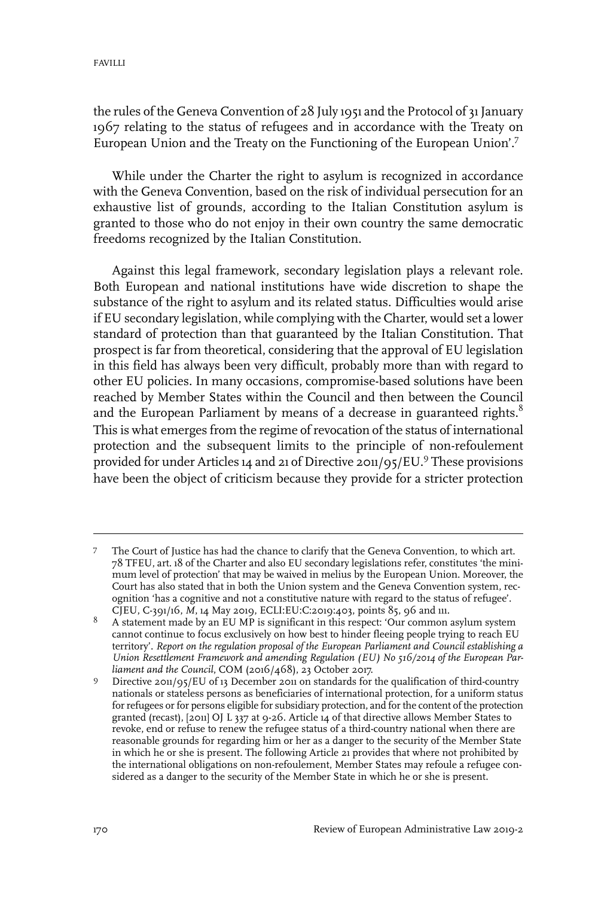the rules of the Geneva Convention of 28 July 1951 and the Protocol of 31 January 1967 relating to the status of refugees and in accordance with the Treaty on European Union and the Treaty on the Functioning of the European Union'.<sup>7</sup>

While under the Charter the right to asylum is recognized in accordance with the Geneva Convention, based on the risk of individual persecution for an exhaustive list of grounds, according to the Italian Constitution asylum is granted to those who do not enjoy in their own country the same democratic freedoms recognized by the Italian Constitution.

Against this legal framework, secondary legislation plays a relevant role. Both European and national institutions have wide discretion to shape the substance of the right to asylum and its related status. Difficulties would arise if EU secondary legislation, while complying with the Charter, would set a lower standard of protection than that guaranteed by the Italian Constitution. That prospect is far from theoretical, considering that the approval of EU legislation in this field has always been very difficult, probably more than with regard to other EU policies. In many occasions, compromise-based solutions have been reached by Member States within the Council and then between the Council and the European Parliament by means of a decrease in guaranteed rights. $8$ This is what emerges from the regime of revocation of the status of international protection and the subsequent limits to the principle of non-refoulement provided for under Articles 14 and 21 of Directive 2011/95/EU.<sup>9</sup> These provisions have been the object of criticism because they provide for a stricter protection

The Court of Justice has had the chance to clarify that the Geneva Convention, to which art. 78 TFEU, art. 18 of the Charter and also EU secondary legislations refer, constitutes 'the mini-7 mum level of protection' that may be waived in melius by the European Union. Moreover, the Court has also stated that in both the Union system and the Geneva Convention system, recognition 'has a cognitive and not a constitutive nature with regard to the status of refugee'. CJEU, C-391/16, *M*, 14 May 2019, ECLI:EU:C:2019:403, points 85, 96 and 111.

A statement made by an EU MP is significant in this respect: 'Our common asylum system cannot continue to focus exclusively on how best to hinder fleeing people trying to reach EU 8 territory'. *Report on the regulation proposal of the European Parliament and Council establishing a Union Resettlement Framework and amending Regulation (EU) No 516/2014 of the European Parliament and the Council*, COM (2016/468), 23 October 2017.

Directive 2011/95/EU of 13 December 2011 on standards for the qualification of third-country nationals or stateless persons as beneficiaries of international protection, for a uniform status 9 for refugees or for persons eligible for subsidiary protection, and for the content of the protection granted (recast), [2011] OJ L 337 at 9-26. Article 14 of that directive allows Member States to revoke, end or refuse to renew the refugee status of a third-country national when there are reasonable grounds for regarding him or her as a danger to the security of the Member State in which he or she is present. The following Article 21 provides that where not prohibited by the international obligations on non-refoulement, Member States may refoule a refugee considered as a danger to the security of the Member State in which he or she is present.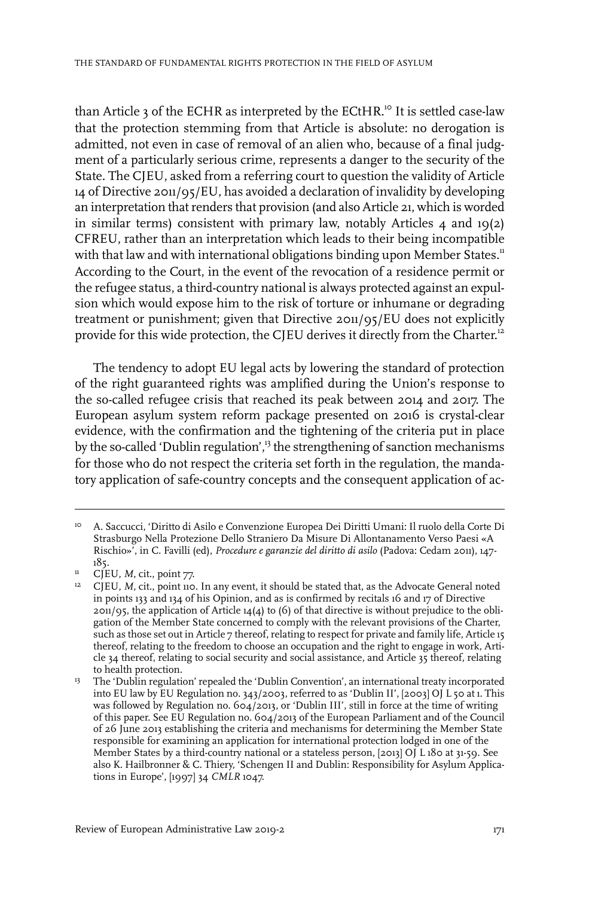than Article 3 of the ECHR as interpreted by the ECtHR.<sup>10</sup> It is settled case-law that the protection stemming from that Article is absolute: no derogation is admitted, not even in case of removal of an alien who, because of a final judgment of a particularly serious crime, represents a danger to the security of the State. The CJEU, asked from a referring court to question the validity of Article 14 of Directive 2011/95/EU, has avoided a declaration of invalidity by developing an interpretation that renders that provision (and also Article 21, which is worded in similar terms) consistent with primary law, notably Articles  $4$  and  $19(2)$ CFREU, rather than an interpretation which leads to their being incompatible with that law and with international obligations binding upon Member States.<sup>11</sup> According to the Court, in the event of the revocation of a residence permit or the refugee status, a third-country national is always protected against an expulsion which would expose him to the risk of torture or inhumane or degrading treatment or punishment; given that Directive 2011/95/EU does not explicitly provide for this wide protection, the CJEU derives it directly from the Charter.<sup>12</sup>

The tendency to adopt EU legal acts by lowering the standard of protection of the right guaranteed rights was amplified during the Union's response to the so-called refugee crisis that reached its peak between 2014 and 2017. The European asylum system reform package presented on 2016 is crystal-clear evidence, with the confirmation and the tightening of the criteria put in place by the so-called 'Dublin regulation',<sup>13</sup> the strengthening of sanction mechanisms for those who do not respect the criteria set forth in the regulation, the mandatory application of safe-country concepts and the consequent application of ac-

A. Saccucci, 'Diritto di Asilo e Convenzione Europea Dei Diritti Umani: Il ruolo della Corte Di Strasburgo Nella Protezione Dello Straniero Da Misure Di Allontanamento Verso Paesi «A 10 Rischio»', in C. Favilli (ed), *Procedure e garanzie del diritto di asilo* (Padova: Cedam 2011), 147- 185.

CJEU, *M*, cit., point 77. 11

CJEU, *M*, cit., point 110.In any event, it should be stated that, as the Advocate General noted in points 133 and 134 of his Opinion, and as is confirmed by recitals 16 and 17 of Directive 12  $201/95$ , the application of Article  $14(4)$  to (6) of that directive is without prejudice to the obligation of the Member State concerned to comply with the relevant provisions of the Charter, such as those set out in Article 7 thereof, relating to respect for private and family life, Article 15 thereof, relating to the freedom to choose an occupation and the right to engage in work, Article 34 thereof, relating to social security and social assistance, and Article 35 thereof, relating to health protection.

The 'Dublin regulation' repealed the 'Dublin Convention', an international treaty incorporated into EU law by EU Regulation no. 343/2003, referred to as 'Dublin II', [2003] OJ L 50 at 1. This 13 was followed by Regulation no. 604/2013, or 'Dublin III', still in force at the time of writing of this paper. See EU Regulation no. 604/2013 of the European Parliament and of the Council of 26 June 2013 establishing the criteria and mechanisms for determining the Member State responsible for examining an application for international protection lodged in one of the Member States by a third-country national or a stateless person, [2013] OJ L 180 at 31-59. See also K. Hailbronner & C. Thiery, 'Schengen II and Dublin: Responsibility for Asylum Applications in Europe', [1997] 34 *CMLR* 1047.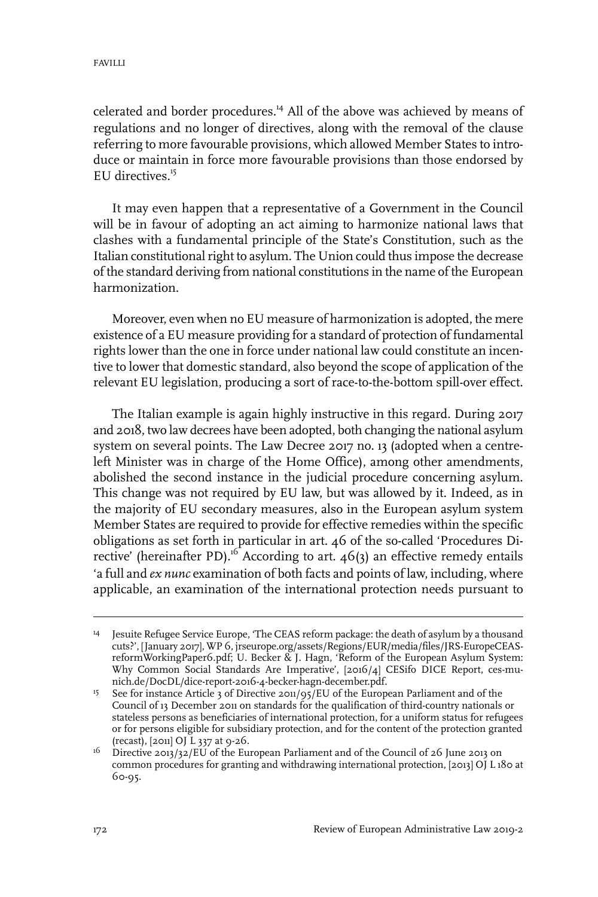celerated and border procedures.<sup>14</sup> All of the above was achieved by means of regulations and no longer of directives, along with the removal of the clause referring to more favourable provisions, which allowed Member States to introduce or maintain in force more favourable provisions than those endorsed by EU directives. $15$ 

It may even happen that a representative of a Government in the Council will be in favour of adopting an act aiming to harmonize national laws that clashes with a fundamental principle of the State's Constitution, such as the Italian constitutional right to asylum. The Union could thus impose the decrease of the standard deriving from national constitutions in the name of the European harmonization.

Moreover, even when no EU measure of harmonization is adopted, the mere existence of a EU measure providing for a standard of protection of fundamental rights lower than the one in force under national law could constitute an incentive to lower that domestic standard, also beyond the scope of application of the relevant EU legislation, producing a sort of race-to-the-bottom spill-over effect.

The Italian example is again highly instructive in this regard. During 2017 and 2018, two law decrees have been adopted, both changing the national asylum system on several points. The Law Decree 2017 no. 13 (adopted when a centreleft Minister was in charge of the Home Office), among other amendments, abolished the second instance in the judicial procedure concerning asylum. This change was not required by EU law, but was allowed by it. Indeed, as in the majority of EU secondary measures, also in the European asylum system Member States are required to provide for effective remedies within the specific obligations as set forth in particular in art. 46 of the so-called 'Procedures Directive' (hereinafter PD).<sup>16</sup> According to art. 46(3) an effective remedy entails 'a full and *ex nunc* examination of both facts and points of law, including, where applicable, an examination of the international protection needs pursuant to

<sup>&</sup>lt;sup>14</sup> Jesuite Refugee Service Europe, 'The CEAS reform package: the death of asylum by a thousand cuts?', [January 2017], WP 6, jrseurope.org/assets/Regions/EUR/media/files/JRS-EuropeCEASreformWorkingPaper6.pdf; U. Becker & J. Hagn, 'Reform of the European Asylum System: Why Common Social Standards Are Imperative', [2016/4] CESifo DICE Report, ces-munich.de/DocDL/dice-report-2016-4-becker-hagn-december.pdf.

<sup>&</sup>lt;sup>15</sup> See for instance Article 3 of Directive 2011/95/EU of the European Parliament and of the Council of 13 December 2011 on standards for the qualification of third-country nationals or stateless persons as beneficiaries of international protection, for a uniform status for refugees or for persons eligible for subsidiary protection, and for the content of the protection granted (recast), [2011] OJ L 337 at 9-26.

 $^{16}$  Directive 2013/32/EU of the European Parliament and of the Council of 26 June 2013 on common procedures for granting and withdrawing international protection, [2013] OJ L 180 at 60-95.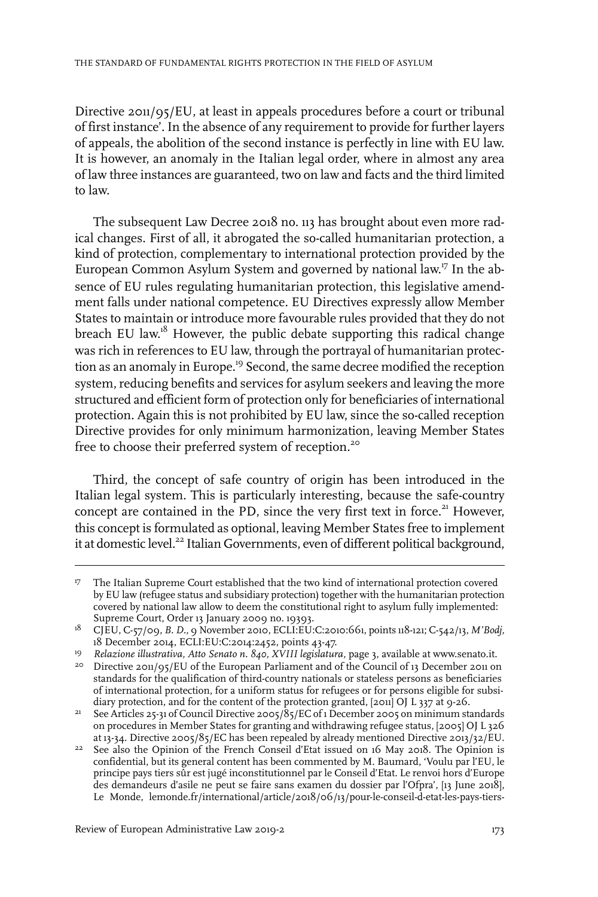Directive 2011/95/EU, at least in appeals procedures before a court or tribunal of first instance'. In the absence of any requirement to provide for further layers of appeals, the abolition of the second instance is perfectly in line with EU law. It is however, an anomaly in the Italian legal order, where in almost any area of law three instances are guaranteed, two on law and facts and the third limited to law.

The subsequent Law Decree 2018 no. 113 has brought about even more radical changes. First of all, it abrogated the so-called humanitarian protection, a kind of protection, complementary to international protection provided by the European Common Asylum System and governed by national law. <sup>17</sup> In the absence of EU rules regulating humanitarian protection, this legislative amendment falls under national competence. EU Directives expressly allow Member States to maintain or introduce more favourable rules provided that they do not breach EU law.<sup>18</sup> However, the public debate supporting this radical change was rich in references to EU law, through the portrayal of humanitarian protection as an anomaly in Europe.<sup>19</sup> Second, the same decree modified the reception system, reducing benefits and services for asylum seekers and leaving the more structured and efficient form of protection only for beneficiaries of international protection. Again this is not prohibited by EU law, since the so-called reception Directive provides for only minimum harmonization, leaving Member States free to choose their preferred system of reception.<sup>20</sup>

Third, the concept of safe country of origin has been introduced in the Italian legal system. This is particularly interesting, because the safe-country concept are contained in the PD, since the very first text in force.<sup>21</sup> However, this concept is formulated as optional, leaving Member States free to implement it at domestic level.<sup>22</sup> Italian Governments, even of different political background,

<sup>&</sup>lt;sup>17</sup> The Italian Supreme Court established that the two kind of international protection covered by EU law (refugee status and subsidiary protection) together with the humanitarian protection covered by national law allow to deem the constitutional right to asylum fully implemented: Supreme Court, Order 13 January 2009 no. 19393.

CJEU, C-57/09, *B. D.,* 9 November 2010, ECLI:EU:C:2010:661, points 118-121; C-542/13, *M'Bodj,* 18 18 December 2014, ECLI:EU:C:2014:2452, points 43-47.

*Relazione illustrativa, Atto Senato n. 840, XVIII legislatura,* page 3, available at www.senato.it. <sup>19</sup>

<sup>&</sup>lt;sup>20</sup> Directive 2011/95/EU of the European Parliament and of the Council of 13 December 2011 on standards for the qualification of third-country nationals or stateless persons as beneficiaries of international protection, for a uniform status for refugees or for persons eligible for subsidiary protection, and for the content of the protection granted, [2011] OJ L 337 at 9-26.

See Articles 25-31 of Council Directive 2005/85/EC of 1 December 2005 on minimum standards on procedures in Member States for granting and withdrawing refugee status, [2005] OJ L 326 at 13-34. Directive 2005/85/EC has been repealed by already mentioned Directive 2013/32/EU. 21

 $22$  See also the Opinion of the French Conseil d'Etat issued on 16 May 2018. The Opinion is confidential, but its general content has been commented by M. Baumard, 'Voulu par l'EU, le principe pays tiers sûr est jugé inconstitutionnel par le Conseil d'Etat. Le renvoi hors d'Europe des demandeurs d'asile ne peut se faire sans examen du dossier par l'Ofpra', [13 June 2018], Le Monde, lemonde.fr/international/article/2018/06/13/pour-le-conseil-d-etat-les-pays-tiers-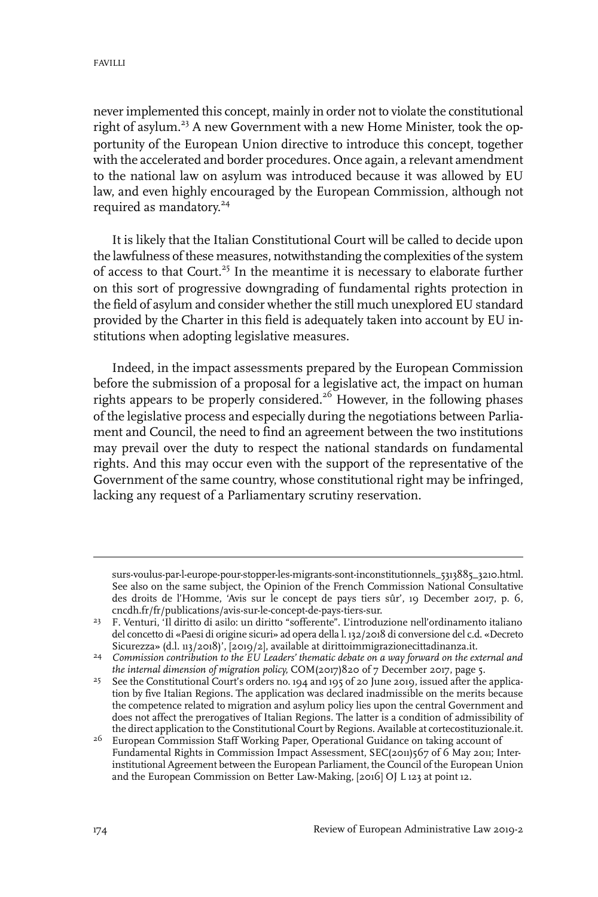neverimplemented this concept, mainly in order not to violate the constitutional right of asylum.<sup>23</sup> A new Government with a new Home Minister, took the opportunity of the European Union directive to introduce this concept, together with the accelerated and border procedures. Once again, a relevant amendment to the national law on asylum was introduced because it was allowed by EU law, and even highly encouraged by the European Commission, although not required as mandatory. 24

It is likely that the Italian Constitutional Court will be called to decide upon the lawfulness of these measures, notwithstanding the complexities of the system of access to that Court.<sup>25</sup> In the meantime it is necessary to elaborate further on this sort of progressive downgrading of fundamental rights protection in the field of asylum and consider whether the still much unexplored EU standard provided by the Charter in this field is adequately taken into account by EU institutions when adopting legislative measures.

Indeed, in the impact assessments prepared by the European Commission before the submission of a proposal for a legislative act, the impact on human rights appears to be properly considered.<sup>26</sup> However, in the following phases of the legislative process and especially during the negotiations between Parliament and Council, the need to find an agreement between the two institutions may prevail over the duty to respect the national standards on fundamental rights. And this may occur even with the support of the representative of the Government of the same country, whose constitutional right may be infringed, lacking any request of a Parliamentary scrutiny reservation.

surs-voulus-par-l-europe-pour-stopper-les-migrants-sont-inconstitutionnels\_5313885\_3210.html. See also on the same subject, the Opinion of the French Commission National Consultative des droits de l'Homme, 'Avis sur le concept de pays tiers sûr', 19 December 2017, p. 6, cncdh.fr/fr/publications/avis-sur-le-concept-de-pays-tiers-sur.

<sup>&</sup>lt;sup>23</sup> F. Venturi, 'Il diritto di asilo: un diritto "sofferente". L'introduzione nell'ordinamento italiano del concetto di «Paesi di origine sicuri» ad opera della l. 132/2018 di conversione del c.d. «Decreto Sicurezza» (d.l. 113/2018)', [2019/2], available at dirittoimmigrazionecittadinanza.it.

*Commission contribution to the EU Leaders' thematic debate on a way forward on the external and* 24 *the internal dimension of migration policy,* COM(2017)820 of 7 December 2017, page 5.

<sup>&</sup>lt;sup>25</sup> See the Constitutional Court's orders no. 194 and 195 of 20 June 2019, issued after the application by five Italian Regions. The application was declared inadmissible on the merits because the competence related to migration and asylum policy lies upon the central Government and does not affect the prerogatives of Italian Regions. The latter is a condition of admissibility of the direct application to the Constitutional Court by Regions. Available at cortecostituzionale.it.

<sup>&</sup>lt;sup>26</sup> European Commission Staff Working Paper, Operational Guidance on taking account of Fundamental Rights in Commission Impact Assessment, SEC(2011)567 of 6 May 2011; Interinstitutional Agreement between the European Parliament, the Council of the European Union and the European Commission on Better Law-Making, [2016] OJ L 123 at point 12.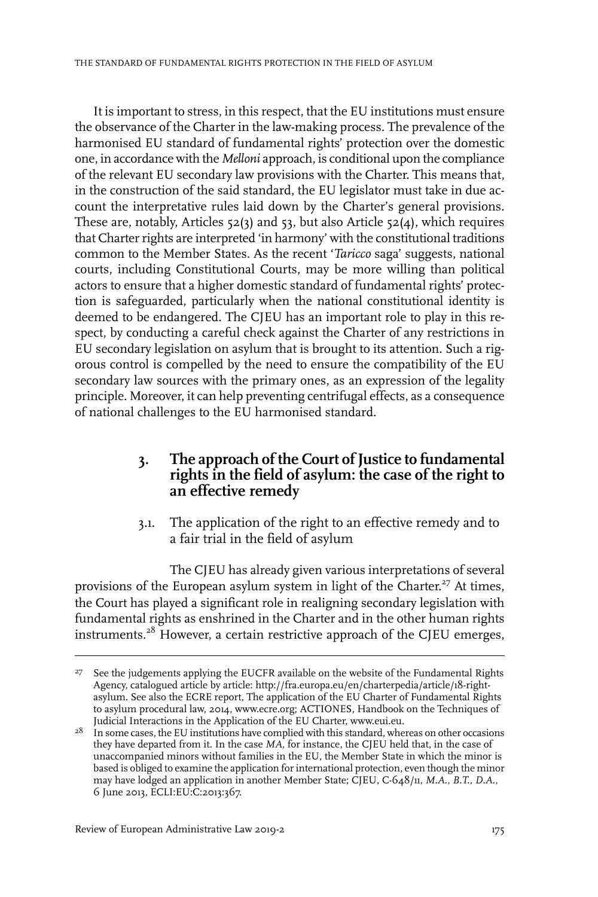It is important to stress, in this respect, that the EU institutions must ensure the observance of the Charter in the law-making process. The prevalence of the harmonised EU standard of fundamental rights' protection over the domestic one, in accordance with the *Melloni* approach, is conditional upon the compliance of the relevant EU secondary law provisions with the Charter. This means that, in the construction of the said standard, the EU legislator must take in due account the interpretative rules laid down by the Charter's general provisions. These are, notably, Articles 52(3) and 53, but also Article 52(4), which requires that Charter rights are interpreted 'in harmony' with the constitutional traditions common to the Member States. As the recent '*Taricco* saga' suggests, national courts, including Constitutional Courts, may be more willing than political actors to ensure that a higher domestic standard of fundamental rights' protection is safeguarded, particularly when the national constitutional identity is deemed to be endangered. The CJEU has an important role to play in this respect, by conducting a careful check against the Charter of any restrictions in EU secondary legislation on asylum that is brought to its attention. Such a rigorous control is compelled by the need to ensure the compatibility of the EU secondary law sources with the primary ones, as an expression of the legality principle. Moreover, it can help preventing centrifugal effects, as a consequence of national challenges to the EU harmonised standard.

#### **3. The approach of the Court of Justice to fundamental rights in the field of asylum: the case of the right to an effective remedy**

3.1. The application of the right to an effective remedy and to a fair trial in the field of asylum

The CJEU has already given various interpretations of several provisions of the European asylum system in light of the Charter.<sup>27</sup> At times, the Court has played a significant role in realigning secondary legislation with fundamental rights as enshrined in the Charter and in the other human rights instruments.<sup>28</sup> However, a certain restrictive approach of the CJEU emerges,

<sup>&</sup>lt;sup>27</sup> See the judgements applying the EUCFR available on the website of the Fundamental Rights Agency, catalogued article by article: http://fra.europa.eu/en/charterpedia/article/18-rightasylum. See also the ECRE report, The application of the EU Charter of Fundamental Rights to asylum procedural law, 2014, www.ecre.org; ACTIONES, Handbook on the Techniques of Judicial Interactions in the Application of the EU Charter, www.eui.eu.

 $2^8$  In some cases, the EU institutions have complied with this standard, whereas on other occasions they have departed from it.In the case *MA,* for instance, the CJEU held that, in the case of unaccompanied minors without families in the EU, the Member State in which the minor is based is obliged to examine the application forinternational protection, even though the minor may have lodged an application in another Member State; CJEU, C-648/11, *M.A., B.T., D.A.,* 6 June 2013, ECLI:EU:C:2013:367.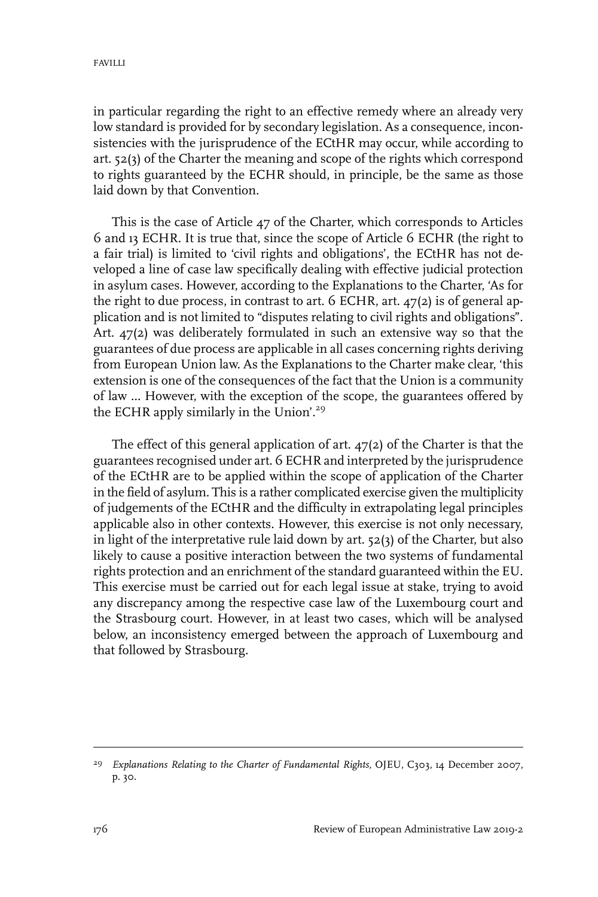in particular regarding the right to an effective remedy where an already very low standard is provided for by secondary legislation. As a consequence, inconsistencies with the jurisprudence of the ECtHR may occur, while according to art. 52(3) of the Charter the meaning and scope of the rights which correspond to rights guaranteed by the ECHR should, in principle, be the same as those laid down by that Convention.

This is the case of Article 47 of the Charter, which corresponds to Articles 6 and 13 ECHR. It is true that, since the scope of Article 6 ECHR (the right to a fair trial) is limited to 'civil rights and obligations', the ECtHR has not developed a line of case law specifically dealing with effective judicial protection in asylum cases. However, according to the Explanations to the Charter, 'As for the right to due process, in contrast to art. 6 ECHR, art. 47(2) is of general application and is not limited to "disputes relating to civil rights and obligations". Art. 47(2) was deliberately formulated in such an extensive way so that the guarantees of due process are applicable in all cases concerning rights deriving from European Union law. As the Explanations to the Charter make clear, 'this extension is one of the consequences of the fact that the Union is a community of law ... However, with the exception of the scope, the guarantees offered by the ECHR apply similarly in the Union'.<sup>29</sup>

The effect of this general application of art. 47(2) of the Charter is that the guarantees recognised under art. 6 ECHR and interpreted by the jurisprudence of the ECtHR are to be applied within the scope of application of the Charter in the field of asylum. This is a rather complicated exercise given the multiplicity of judgements of the ECtHR and the difficulty in extrapolating legal principles applicable also in other contexts. However, this exercise is not only necessary, in light of the interpretative rule laid down by art. 52(3) of the Charter, but also likely to cause a positive interaction between the two systems of fundamental rights protection and an enrichment of the standard guaranteed within the EU. This exercise must be carried out for each legal issue at stake, trying to avoid any discrepancy among the respective case law of the Luxembourg court and the Strasbourg court. However, in at least two cases, which will be analysed below, an inconsistency emerged between the approach of Luxembourg and that followed by Strasbourg.

*Explanations Relating to the Charter of Fundamental Rights,* OJEU, C303, 14 December 2007, 29 p. 30.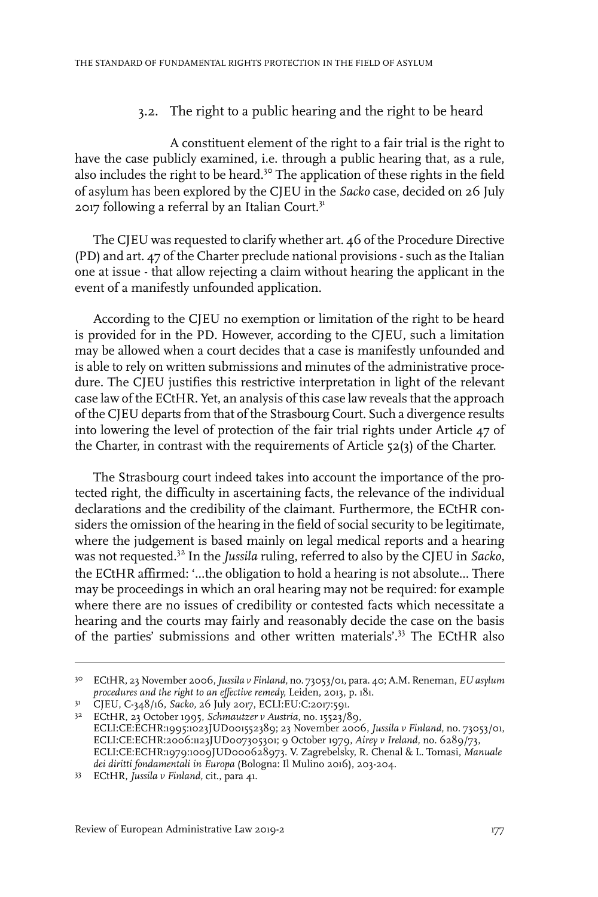3.2. The right to a public hearing and the right to be heard

A constituent element of the right to a fair trial is the right to have the case publicly examined, i.e. through a public hearing that, as a rule, also includes the right to be heard.<sup>30</sup> The application of these rights in the field of asylum has been explored by the CJEU in the *Sacko* case, decided on 26 July 2017 following a referral by an Italian Court.<sup>31</sup>

The CJEU was requested to clarify whether art. 46 of the Procedure Directive (PD) and art. 47 of the Charter preclude national provisions - such as the Italian one at issue - that allow rejecting a claim without hearing the applicant in the event of a manifestly unfounded application.

According to the CJEU no exemption or limitation of the right to be heard is provided for in the PD. However, according to the CJEU, such a limitation may be allowed when a court decides that a case is manifestly unfounded and is able to rely on written submissions and minutes of the administrative procedure. The CJEU justifies this restrictive interpretation in light of the relevant case law of the ECtHR. Yet, an analysis of this case law reveals that the approach of the CJEU departs from that of the Strasbourg Court. Such a divergence results into lowering the level of protection of the fair trial rights under Article 47 of the Charter, in contrast with the requirements of Article 52(3) of the Charter.

The Strasbourg court indeed takes into account the importance of the protected right, the difficulty in ascertaining facts, the relevance of the individual declarations and the credibility of the claimant. Furthermore, the ECtHR considers the omission of the hearing in the field of social security to be legitimate, where the judgement is based mainly on legal medical reports and a hearing was not requested.<sup>32</sup> In the *Jussila* ruling, referred to also by the CJEU in *Sacko*, the ECtHR affirmed: '...the obligation to hold a hearing is not absolute... There may be proceedings in which an oral hearing may not be required: for example where there are no issues of credibility or contested facts which necessitate a hearing and the courts may fairly and reasonably decide the case on the basis of the parties' submissions and other written materials'.<sup>33</sup> The ECtHR also

ECtHR, 23 November 2006,*Jussila v Finland,* no. 73053/01, para. 40; A.M. Reneman, *EU asylum* 30 *procedures and the right to an effective remedy,* Leiden, 2013, p. 181.

<sup>31</sup> CJEU, C-348/16, *Sacko*, 26 July 2017, ECLI:EU:C:2017:591.

ECtHR, 23 October 1995, *Schmautzer v Austria,* no. 15523/89, 32 ECLI:CE:ECHR:1995:1023JUD001552389; 23 November 2006, *Jussila v Finland,* no. 73053/01, ECLI:CE:ECHR:2006:1123JUD007305301; 9 October 1979, *Airey v Ireland,* no. 6289/73, ECLI:CE:ECHR:1979:1009JUD000628973. V. Zagrebelsky, R. Chenal & L. Tomasi, *Manuale dei diritti fondamentali in Europa* (Bologna:Il Mulino 2016), 203-204.

ECtHR, *Jussila v Finland,* cit., para 41. <sup>33</sup>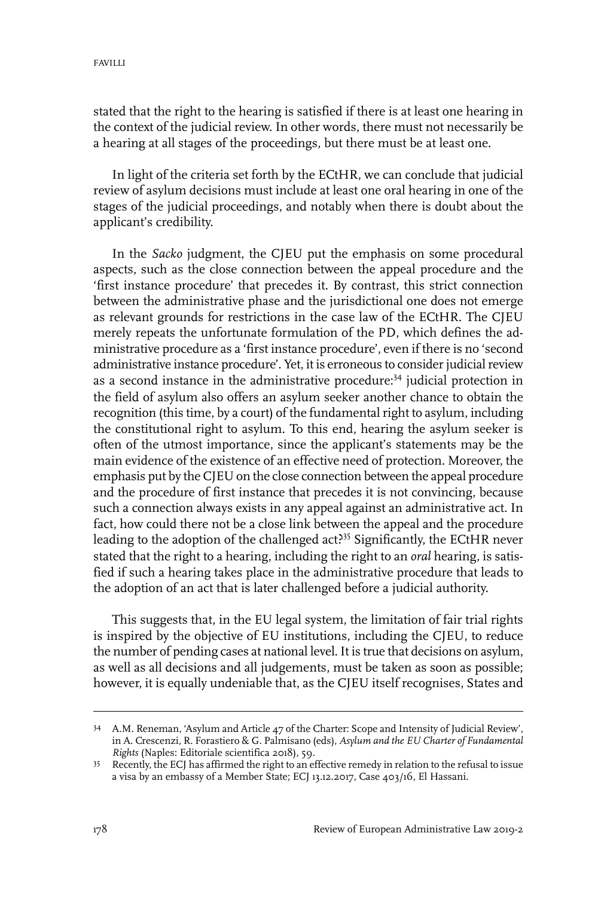stated that the right to the hearing is satisfied if there is at least one hearing in the context of the judicial review. In other words, there must not necessarily be a hearing at all stages of the proceedings, but there must be at least one.

In light of the criteria set forth by the ECtHR, we can conclude that judicial review of asylum decisions must include at least one oral hearing in one of the stages of the judicial proceedings, and notably when there is doubt about the applicant's credibility.

In the *Sacko* judgment, the CJEU put the emphasis on some procedural aspects, such as the close connection between the appeal procedure and the 'first instance procedure' that precedes it. By contrast, this strict connection between the administrative phase and the jurisdictional one does not emerge as relevant grounds for restrictions in the case law of the ECtHR. The CJEU merely repeats the unfortunate formulation of the PD, which defines the administrative procedure as a 'first instance procedure', even if there is no 'second administrative instance procedure'. Yet, it is erroneous to consider judicial review as a second instance in the administrative procedure:<sup>34</sup> judicial protection in the field of asylum also offers an asylum seeker another chance to obtain the recognition (this time, by a court) of the fundamental right to asylum, including the constitutional right to asylum. To this end, hearing the asylum seeker is often of the utmost importance, since the applicant's statements may be the main evidence of the existence of an effective need of protection. Moreover, the emphasis put by the CJEU on the close connection between the appeal procedure and the procedure of first instance that precedes it is not convincing, because such a connection always exists in any appeal against an administrative act. In fact, how could there not be a close link between the appeal and the procedure leading to the adoption of the challenged act<sup>355</sup> Significantly, the ECtHR never stated that the right to a hearing, including the right to an *oral* hearing, is satisfied if such a hearing takes place in the administrative procedure that leads to the adoption of an act that is later challenged before a judicial authority.

This suggests that, in the EU legal system, the limitation of fair trial rights is inspired by the objective of EU institutions, including the CJEU, to reduce the number of pending cases at national level. It is true that decisions on asylum, as well as all decisions and all judgements, must be taken as soon as possible; however, it is equally undeniable that, as the CJEU itself recognises, States and

A.M. Reneman, 'Asylum and Article 47 of the Charter: Scope and Intensity of Judicial Review', 34 in A. Crescenzi, R. Forastiero & G. Palmisano (eds), *Asylum and the EU Charter of Fundamental Rights* (Naples: Editoriale scientifica 2018), 59.

<sup>&</sup>lt;sup>35</sup> Recently, the ECJ has affirmed the right to an effective remedy in relation to the refusal to issue a visa by an embassy of a Member State; ECJ 13.12.2017, Case 403/16, El Hassani.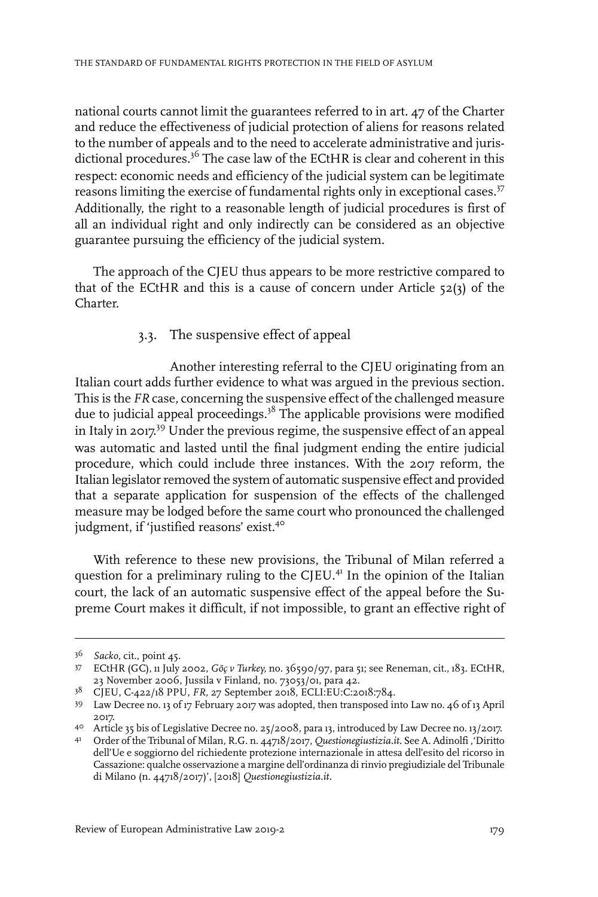national courts cannot limit the guarantees referred to in art. 47 of the Charter and reduce the effectiveness of judicial protection of aliens for reasons related to the number of appeals and to the need to accelerate administrative and jurisdictional procedures.<sup>36</sup> The case law of the ECtHR is clear and coherent in this respect: economic needs and efficiency of the judicial system can be legitimate reasons limiting the exercise of fundamental rights only in exceptional cases.<sup>37</sup> Additionally, the right to a reasonable length of judicial procedures is first of all an individual right and only indirectly can be considered as an objective guarantee pursuing the efficiency of the judicial system.

The approach of the CJEU thus appears to be more restrictive compared to that of the ECtHR and this is a cause of concern under Article  $52(3)$  of the Charter.

#### 3.3. The suspensive effect of appeal

Another interesting referral to the CJEU originating from an Italian court adds further evidence to what was argued in the previous section. This is the *FR* case, concerning the suspensive effect of the challenged measure due to judicial appeal proceedings.<sup>38</sup> The applicable provisions were modified in Italy in 2017. <sup>39</sup> Under the previous regime, the suspensive effect of an appeal was automatic and lasted until the final judgment ending the entire judicial procedure, which could include three instances. With the 2017 reform, the Italian legislator removed the system of automatic suspensive effect and provided that a separate application for suspension of the effects of the challenged measure may be lodged before the same court who pronounced the challenged judgment, if 'justified reasons' exist.<sup>40</sup>

With reference to these new provisions, the Tribunal of Milan referred a question for a preliminary ruling to the CJEU.<sup>41</sup> In the opinion of the Italian court, the lack of an automatic suspensive effect of the appeal before the Supreme Court makes it difficult, if not impossible, to grant an effective right of

*Sacko,* cit., point 45. <sup>36</sup>

ECtHR (GC), 11 July 2002, *Göç v Turkey,* no. 36590/97, para 51; see Reneman, cit., 183. ECtHR, 37 23 November 2006, Jussila v Finland, no. 73053/01, para 42.

CJEU, C-422/18 PPU, *FR,* 27 September 2018, ECLI:EU:C:2018:784. <sup>38</sup>

Law Decree no. 13 of 17 February 2017 was adopted, then transposed into Law no. 46 of 13 April 39 2017.

Article 35 bis of Legislative Decree no. 25/2008, para 13, introduced by Law Decree no. 13/2017. 40

Order of the Tribunal of Milan, R.G. n. 44718/2017, *Questionegiustizia.it.* See A. Adinolfi ,'Diritto 41 dell'Ue e soggiorno del richiedente protezione internazionale in attesa dell'esito del ricorso in Cassazione: qualche osservazione a margine dell'ordinanza dirinvio pregiudiziale del Tribunale di Milano (n. 44718/2017)', [2018] *Questionegiustizia.it.*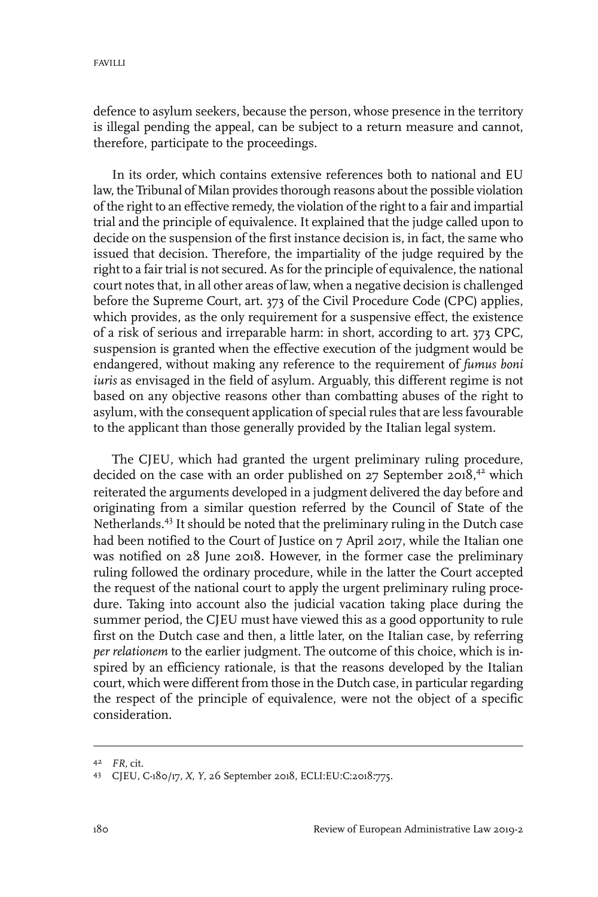defence to asylum seekers, because the person, whose presence in the territory is illegal pending the appeal, can be subject to a return measure and cannot, therefore, participate to the proceedings.

In its order, which contains extensive references both to national and EU law, the Tribunal of Milan provides thorough reasons about the possible violation of the right to an effective remedy, the violation of the right to a fair and impartial trial and the principle of equivalence. It explained that the judge called upon to decide on the suspension of the first instance decision is, in fact, the same who issued that decision. Therefore, the impartiality of the judge required by the right to a fair trial is not secured. As for the principle of equivalence, the national court notes that, in all other areas of law, when a negative decision is challenged before the Supreme Court, art. 373 of the Civil Procedure Code (CPC) applies, which provides, as the only requirement for a suspensive effect, the existence of a risk of serious and irreparable harm: in short, according to art. 373 CPC, suspension is granted when the effective execution of the judgment would be endangered, without making any reference to the requirement of *fumus boni iuris* as envisaged in the field of asylum. Arguably, this different regime is not based on any objective reasons other than combatting abuses of the right to asylum, with the consequent application of special rules that are less favourable to the applicant than those generally provided by the Italian legal system.

The CJEU, which had granted the urgent preliminary ruling procedure, decided on the case with an order published on  $27$  September 2018,<sup>42</sup> which reiterated the arguments developed in a judgment delivered the day before and originating from a similar question referred by the Council of State of the Netherlands.<sup>43</sup> It should be noted that the preliminary ruling in the Dutch case had been notified to the Court of Justice on 7 April 2017, while the Italian one was notified on 28 June 2018. However, in the former case the preliminary ruling followed the ordinary procedure, while in the latter the Court accepted the request of the national court to apply the urgent preliminary ruling procedure. Taking into account also the judicial vacation taking place during the summer period, the CJEU must have viewed this as a good opportunity to rule first on the Dutch case and then, a little later, on the Italian case, by referring *per relationem* to the earlier judgment. The outcome of this choice, which is inspired by an efficiency rationale, is that the reasons developed by the Italian court, which were different from those in the Dutch case, in particular regarding the respect of the principle of equivalence, were not the object of a specific consideration.

*FR,* cit. <sup>42</sup>

CJEU, C-180/17, *X, Y*, 26 September 2018, ECLI:EU:C:2018:775. <sup>43</sup>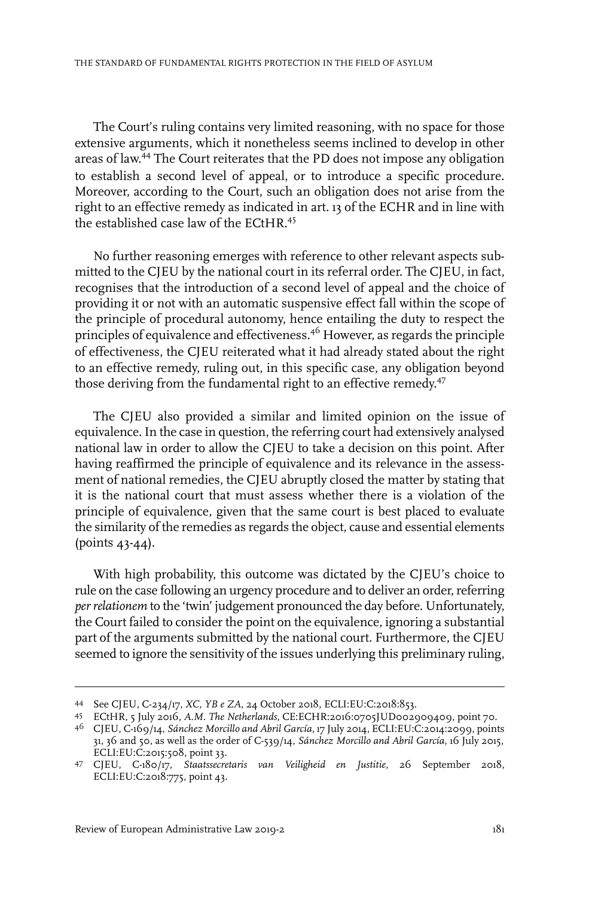The Court's ruling contains very limited reasoning, with no space for those extensive arguments, which it nonetheless seems inclined to develop in other areas of law. <sup>44</sup> The Court reiterates that the PD does not impose any obligation to establish a second level of appeal, or to introduce a specific procedure. Moreover, according to the Court, such an obligation does not arise from the right to an effective remedy as indicated in art. 13 of the ECHR and in line with the established case law of the ECtHR.<sup>45</sup>

No further reasoning emerges with reference to other relevant aspects submitted to the CJEU by the national court in its referral order. The CJEU, in fact, recognises that the introduction of a second level of appeal and the choice of providing it or not with an automatic suspensive effect fall within the scope of the principle of procedural autonomy, hence entailing the duty to respect the principles of equivalence and effectiveness.<sup>46</sup> However, as regards the principle of effectiveness, the CJEU reiterated what it had already stated about the right to an effective remedy, ruling out, in this specific case, any obligation beyond those deriving from the fundamental right to an effective remedy.<sup>47</sup>

The CJEU also provided a similar and limited opinion on the issue of equivalence.In the case in question, the referring court had extensively analysed national law in order to allow the CJEU to take a decision on this point. After having reaffirmed the principle of equivalence and its relevance in the assessment of national remedies, the CJEU abruptly closed the matter by stating that it is the national court that must assess whether there is a violation of the principle of equivalence, given that the same court is best placed to evaluate the similarity of the remedies as regards the object, cause and essential elements (points 43-44).

With high probability, this outcome was dictated by the CJEU's choice to rule on the case following an urgency procedure and to deliver an order, referring *per relationem* to the 'twin' judgement pronounced the day before. Unfortunately, the Court failed to consider the point on the equivalence, ignoring a substantial part of the arguments submitted by the national court. Furthermore, the CJEU seemed to ignore the sensitivity of the issues underlying this preliminary ruling,

See CJEU, C-234/17, *XC, YB e ZA*, 24 October 2018, ECLI:EU:C:2018:853. <sup>44</sup>

ECtHR, 5 July 2016, *A.M. The Netherlands*, CE:ECHR:2016:0705JUD002909409, point 70. <sup>45</sup>

CJEU, C-169/14, *Sánchez Morcillo and Abril García*, 17 July 2014, ECLI:EU:C:2014:2099, points 46 31, 36 and 50, as well as the order of C-539/14, *Sánchez Morcillo and Abril García*, 16 July 2015, ECLI:EU:C:2015:508, point 33.

CJEU, C-180/17, *Staatssecretaris van Veiligheid en Justitie*, 26 September 2018, 47 ECLI:EU:C:2018:775, point 43.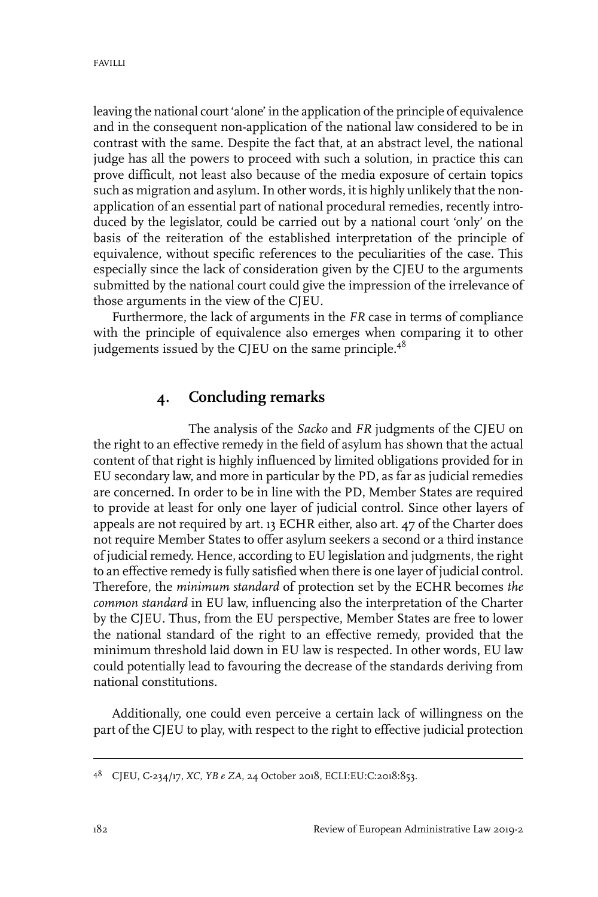leaving the national court 'alone' in the application of the principle of equivalence and in the consequent non-application of the national law considered to be in contrast with the same. Despite the fact that, at an abstract level, the national judge has all the powers to proceed with such a solution, in practice this can prove difficult, not least also because of the media exposure of certain topics such as migration and asylum. In other words, it is highly unlikely that the nonapplication of an essential part of national procedural remedies, recently introduced by the legislator, could be carried out by a national court 'only' on the basis of the reiteration of the established interpretation of the principle of equivalence, without specific references to the peculiarities of the case. This especially since the lack of consideration given by the CJEU to the arguments submitted by the national court could give the impression of the irrelevance of those arguments in the view of the CJEU.

Furthermore, the lack of arguments in the *FR* case in terms of compliance with the principle of equivalence also emerges when comparing it to other judgements issued by the CJEU on the same principle.<sup>48</sup>

#### **4. Concluding remarks**

The analysis of the *Sacko* and *FR* judgments of the CJEU on the right to an effective remedy in the field of asylum has shown that the actual content of that right is highly influenced by limited obligations provided for in EU secondary law, and more in particular by the PD, as far as judicial remedies are concerned. In order to be in line with the PD, Member States are required to provide at least for only one layer of judicial control. Since other layers of appeals are not required by art. 13 ECHR either, also art. 47 of the Charter does not require Member States to offer asylum seekers a second or a third instance of judicial remedy. Hence, according to EU legislation and judgments, the right to an effective remedy is fully satisfied when there is one layer of judicial control. Therefore, the *minimum standard* of protection set by the ECHR becomes *the common standard* in EU law, influencing also the interpretation of the Charter by the CJEU. Thus, from the EU perspective, Member States are free to lower the national standard of the right to an effective remedy, provided that the minimum threshold laid down in EU law is respected. In other words, EU law could potentially lead to favouring the decrease of the standards deriving from national constitutions.

Additionally, one could even perceive a certain lack of willingness on the part of the CJEU to play, with respect to the right to effective judicial protection

CJEU, C-234/17, *XC, YB e ZA*, 24 October 2018, ECLI:EU:C:2018:853. <sup>48</sup>